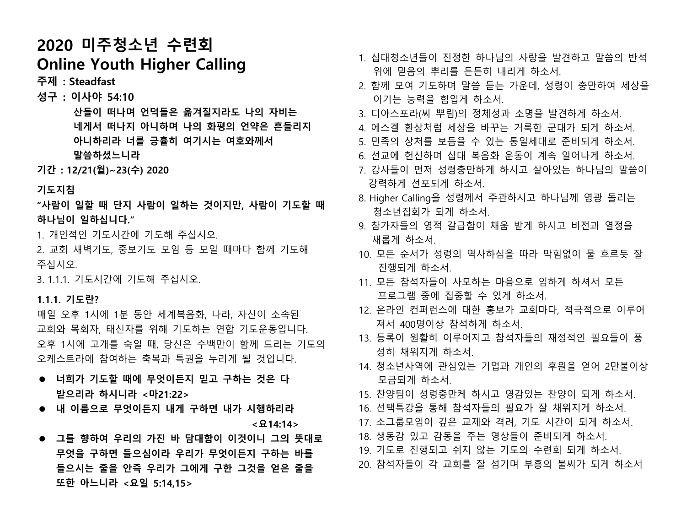# **2020 미주청소년 수련회 Online Youth Higher Calling**

**주제 : Steadfast**

**성구 : 이사야 54:10**

 **산들이 떠나며 언덕들은 옮겨질지라도 나의 자비는 네게서 떠나지 아니하며 나의 화평의 언약은 흔들리지 아니하리라 너를 긍휼히 여기시는 여호와께서 말씀하셨느니라**

**기간 : 12/21(월)~23(수) 2020**

#### **기도지침**

- **"사람이 일할 때 단지 사람이 일하는 것이지만, 사람이 기도할 때 하나님이 일하십니다."**
- 1. 개인적인 기도시간에 기도해 주십시오.
- 2. 교회 새벽기도, 중보기도 모임 등 모일 때마다 함께 기도해 주십시오.

3. 1.1.1. 기도시간에 기도해 주십시오.

#### **1.1.1. 기도란?**

매일 오후 1시에 1분 동안 세계복음화, 나라, 자신이 소속된 교회와 목회자, 태신자를 위해 기도하는 연합 기도운동입니다. 오후 1시에 고개를 숙일 때, 당신은 수백만이 함께 드리는 기도의 오케스트라에 참여하는 축복과 특권을 누리게 될 것입니다.

- ⚫ **너희가 기도할 때에 무엇이든지 믿고 구하는 것은 다 받으리라 하시니라 <마21:22>**
- ⚫ **내 이름으로 무엇이든지 내게 구하면 내가 시행하리라 <요14:14>**
- ⚫ **그를 향하여 우리의 가진 바 담대함이 이것이니 그의 뜻대로 무엇을 구하면 들으심이라 우리가 무엇이든지 구하는 바를 들으시는 줄을 안즉 우리가 그에게 구한 그것을 얻은 줄을 또한 아느니라 <요일 5:14,15>**
- 1. 십대청소년들이 진정한 하나님의 사랑을 발견하고 말씀의 반석 위에 믿음의 뿌리를 든든히 내리게 하소서.
	- 2. 함께 모여 기도하며 말씀 듣는 가운데, 성령이 충만하여 세상을 이기는 능력을 힘입게 하소서.
	- 3. 디아스포라(씨 뿌림)의 정체성과 소명을 발견하게 하소서.
- 4. 에스겔 환상처럼 세상을 바꾸는 거룩한 군대가 되게 하소서.
- 5. 민족의 상처를 보듬을 수 있는 통일세대로 준비되게 하소서.
- 6. 선교에 헌신하며 십대 복음화 운동이 계속 일어나게 하소서.
- 7. 강사들이 먼저 성령충만하게 하시고 살아있는 하나님의 말씀이 강력하게 선포되게 하소서.
- 8. Higher Calling을 성령께서 주관하시고 하나님께 영광 돌리는 청소년집회가 되게 하소서.
- 9. 참가자들의 영적 갈급함이 채움 받게 하시고 비전과 열정을 새롭게 하소서.
- 10. 모든 순서가 성령의 역사하심을 따라 막힘없이 물 흐르듯 잘 진행되게 하소서.
- 11. 모든 참석자들이 사모하는 마음으로 임하게 하셔서 모든 프로그램 중에 집중할 수 있게 하소서.
- 12. 온라인 컨퍼런스에 대한 홍보가 교회마다, 적극적으로 이루어 져서 400명이상 참석하게 하소서.
- 13. 등록이 원활히 이루어지고 참석자들의 재정적인 필요들이 풍 성히 채워지게 하소서.
- 14. 청소년사역에 관심있는 기업과 개인의 후원을 얻어 2만불이상 모금되게 하소서.
- 15. 찬양팀이 성령충만케 하시고 영감있는 찬양이 되게 하소서.
- 16. 선택특강을 통해 참석자들의 필요가 잘 채워지게 하소서.
- 17. 소그룹모임이 깊은 교제와 격려, 기도 시간이 되게 하소서.
- 18. 생동감 있고 감동을 주는 영상들이 준비되게 하소서.
- 19. 기도로 진행되고 쉬지 않는 기도의 수련회 되게 하소서.
- 20. 참석자들이 각 교회를 잘 섬기며 부흥의 불씨가 되게 하소서